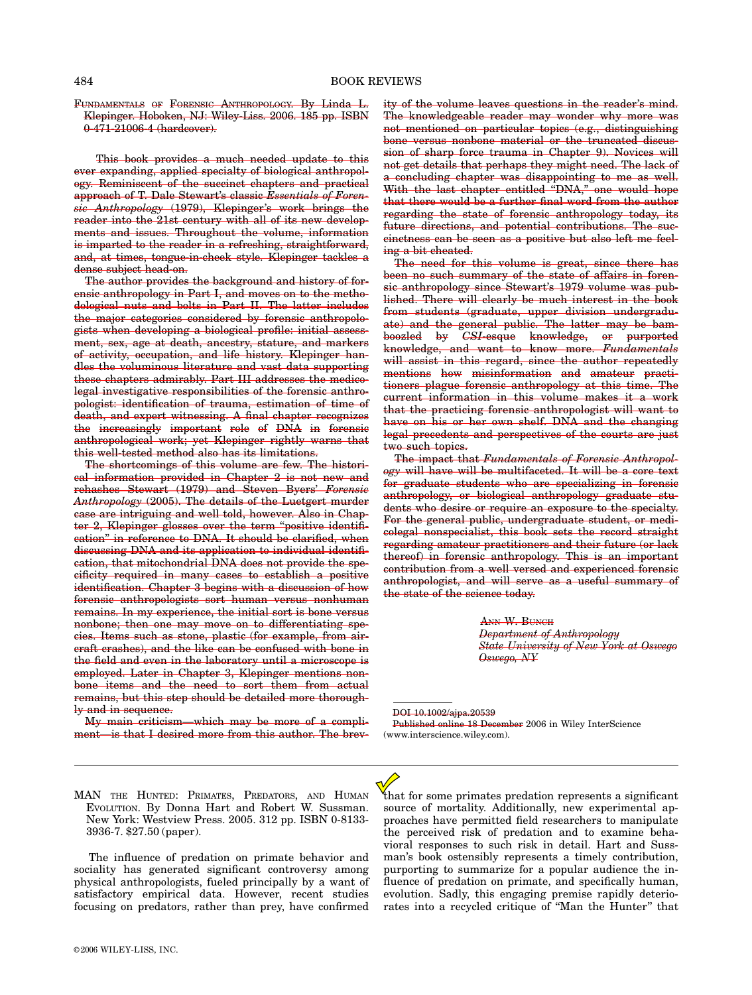FUNDAMENTALS OF FORENSIC ANTHROPOLOGY. By Linda L. Klepinger. Hoboken, NJ: Wiley-Liss. 2006. 185 pp. ISBN 0-471-21006-4 (hardcover).

This book provides a much needed update to this ever expanding, applied specialty of biological anthropology. Reminiscent of the succinct chapters and practical approach of T. Dale Stewart's classic Essentials of Forensic Anthropology (1979), Klepinger's work brings the reader into the 21st century with all of its new developments and issues. Throughout the volume, information is imparted to the reader in a refreshing, straightforward, and, at times, tongue-in-cheek style. Klepinger tackles a dense subject head-on.

The author provides the background and history of forensic anthropology in Part I, and moves on to the methodological nuts and bolts in Part II. The latter includes the major categories considered by forensic anthropologists when developing a biological profile: initial assessment, sex, age at death, ancestry, stature, and markers of activity, occupation, and life history. Klepinger handles the voluminous literature and vast data supporting these chapters admirably. Part III addresses the medicolegal investigative responsibilities of the forensic anthropologist: identification of trauma, estimation of time of death, and expert witnessing. A final chapter recognizes the increasingly important role of DNA in forensic anthropological work; yet Klepinger rightly warns that this well-tested method also has its limitations.

The shortcomings of this volume are few. The historical information provided in Chapter 2 is not new and rehashes Stewart (1979) and Steven Byers' Forensic Anthropology (2005). The details of the Luetgert murder case are intriguing and well told, however. Also in Chapter 2, Klepinger glosses over the term ''positive identification'' in reference to DNA. It should be clarified, when discussing DNA and its application to individual identification, that mitochondrial DNA does not provide the specificity required in many cases to establish a positive identification. Chapter 3 begins with a discussion of how forensic anthropologists sort human versus nonhuman remains. In my experience, the initial sort is bone versus nonbone; then one may move on to differentiating species. Items such as stone, plastic (for example, from aircraft crashes), and the like can be confused with bone in the field and even in the laboratory until a microscope is employed. Later in Chapter 3, Klepinger mentions nonbone items and the need to sort them from actual remains, but this step should be detailed more thoroughly and in sequence.

My main criticism—which may be more of a compliment—is that I desired more from this author. The brevity of the volume leaves questions in the reader's mind. The knowledgeable reader may wonder why more was not mentioned on particular topics (e.g., distinguishing bone versus nonbone material or the truncated discussion of sharp force trauma in Chapter 9). Novices will not get details that perhaps they might need. The lack of a concluding chapter was disappointing to me as well. With the last chapter entitled "DNA," one would hope that there would be a further final word from the author regarding the state of forensic anthropology today, its future directions, and potential contributions. The succinctness can be seen as a positive but also left me feeling a bit cheated.

The need for this volume is great, since there has been no such summary of the state of affairs in forensic anthropology since Stewart's 1979 volume was published. There will clearly be much interest in the book from students (graduate, upper division undergraduate) and the general public. The latter may be bamboozled by CSI-esque knowledge, or purported knowledge, and want to know more. Fundamentals will assist in this regard, since the author repeatedly mentions how misinformation and amateur practitioners plague forensic anthropology at this time. The current information in this volume makes it a work that the practicing forensic anthropologist will want to have on his or her own shelf. DNA and the changing legal precedents and perspectives of the courts are just two such topics.

The impact that Fundamentals of Forensic Anthropology will have will be multifaceted. It will be a core text for graduate students who are specializing in forensic anthropology, or biological anthropology graduate students who desire or require an exposure to the specialty. For the general public, undergraduate student, or medicolegal nonspecialist, this book sets the record straight regarding amateur practitioners and their future (or lack thereof) in forensic anthropology. This is an important contribution from a well versed and experienced forensic anthropologist, and will serve as a useful summary of the state of the science today.

> ANN W. BUNCH Department of Anthropology State University of New York at Oswego Oswego, NY

DOI 10.1002/ajpa.20539 Published online 18 December 2006 in Wiley InterScience (www.interscience.wiley.com).

MAN THE HUNTED: PRIMATES, PREDATORS, AND HUMAN EVOLUTION. By Donna Hart and Robert W. Sussman. New York: Westview Press. 2005. 312 pp. ISBN 0-8133- 3936-7. \$27.50 (paper).

The influence of predation on primate behavior and sociality has generated significant controversy among physical anthropologists, fueled principally by a want of satisfactory empirical data. However, recent studies focusing on predators, rather than prey, have confirmed that for some primates predation represents a significant source of mortality. Additionally, new experimental approaches have permitted field researchers to manipulate the perceived risk of predation and to examine behavioral responses to such risk in detail. Hart and Sussman's book ostensibly represents a timely contribution, purporting to summarize for a popular audience the influence of predation on primate, and specifically human, evolution. Sadly, this engaging premise rapidly deteriorates into a recycled critique of ''Man the Hunter'' that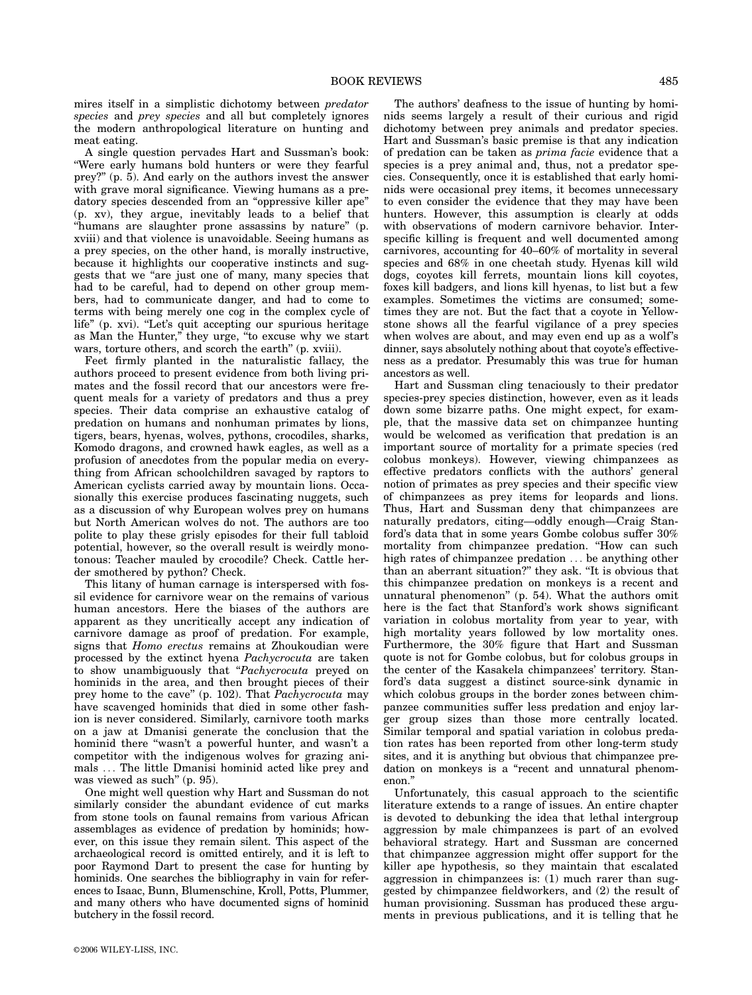mires itself in a simplistic dichotomy between predator species and *prey species* and all but completely ignores the modern anthropological literature on hunting and meat eating.

A single question pervades Hart and Sussman's book: ''Were early humans bold hunters or were they fearful prey?'' (p. 5). And early on the authors invest the answer with grave moral significance. Viewing humans as a predatory species descended from an ''oppressive killer ape'' (p. xv), they argue, inevitably leads to a belief that ''humans are slaughter prone assassins by nature'' (p. xviii) and that violence is unavoidable. Seeing humans as a prey species, on the other hand, is morally instructive, because it highlights our cooperative instincts and suggests that we ''are just one of many, many species that had to be careful, had to depend on other group members, had to communicate danger, and had to come to terms with being merely one cog in the complex cycle of life" (p. xvi). "Let's quit accepting our spurious heritage as Man the Hunter,'' they urge, ''to excuse why we start wars, torture others, and scorch the earth'' (p. xviii).

Feet firmly planted in the naturalistic fallacy, the authors proceed to present evidence from both living primates and the fossil record that our ancestors were frequent meals for a variety of predators and thus a prey species. Their data comprise an exhaustive catalog of predation on humans and nonhuman primates by lions, tigers, bears, hyenas, wolves, pythons, crocodiles, sharks, Komodo dragons, and crowned hawk eagles, as well as a profusion of anecdotes from the popular media on everything from African schoolchildren savaged by raptors to American cyclists carried away by mountain lions. Occasionally this exercise produces fascinating nuggets, such as a discussion of why European wolves prey on humans but North American wolves do not. The authors are too polite to play these grisly episodes for their full tabloid potential, however, so the overall result is weirdly monotonous: Teacher mauled by crocodile? Check. Cattle herder smothered by python? Check.

This litany of human carnage is interspersed with fossil evidence for carnivore wear on the remains of various human ancestors. Here the biases of the authors are apparent as they uncritically accept any indication of carnivore damage as proof of predation. For example, signs that Homo erectus remains at Zhoukoudian were processed by the extinct hyena Pachycrocuta are taken to show unambiguously that "Pachycrocuta preyed on hominids in the area, and then brought pieces of their prey home to the cave" (p. 102). That Pachycrocuta may have scavenged hominids that died in some other fashion is never considered. Similarly, carnivore tooth marks on a jaw at Dmanisi generate the conclusion that the hominid there ''wasn't a powerful hunter, and wasn't a competitor with the indigenous wolves for grazing animals ... The little Dmanisi hominid acted like prey and was viewed as such" (p. 95).

One might well question why Hart and Sussman do not similarly consider the abundant evidence of cut marks from stone tools on faunal remains from various African assemblages as evidence of predation by hominids; however, on this issue they remain silent. This aspect of the archaeological record is omitted entirely, and it is left to poor Raymond Dart to present the case for hunting by hominids. One searches the bibliography in vain for references to Isaac, Bunn, Blumenschine, Kroll, Potts, Plummer, and many others who have documented signs of hominid butchery in the fossil record.

The authors' deafness to the issue of hunting by hominids seems largely a result of their curious and rigid dichotomy between prey animals and predator species. Hart and Sussman's basic premise is that any indication of predation can be taken as prima facie evidence that a species is a prey animal and, thus, not a predator species. Consequently, once it is established that early hominids were occasional prey items, it becomes unnecessary to even consider the evidence that they may have been hunters. However, this assumption is clearly at odds with observations of modern carnivore behavior. Interspecific killing is frequent and well documented among carnivores, accounting for 40–60% of mortality in several species and 68% in one cheetah study. Hyenas kill wild dogs, coyotes kill ferrets, mountain lions kill coyotes, foxes kill badgers, and lions kill hyenas, to list but a few examples. Sometimes the victims are consumed; sometimes they are not. But the fact that a coyote in Yellowstone shows all the fearful vigilance of a prey species when wolves are about, and may even end up as a wolf's dinner, says absolutely nothing about that coyote's effectiveness as a predator. Presumably this was true for human ancestors as well.

Hart and Sussman cling tenaciously to their predator species-prey species distinction, however, even as it leads down some bizarre paths. One might expect, for example, that the massive data set on chimpanzee hunting would be welcomed as verification that predation is an important source of mortality for a primate species (red colobus monkeys). However, viewing chimpanzees as effective predators conflicts with the authors' general notion of primates as prey species and their specific view of chimpanzees as prey items for leopards and lions. Thus, Hart and Sussman deny that chimpanzees are naturally predators, citing—oddly enough—Craig Stanford's data that in some years Gombe colobus suffer 30% mortality from chimpanzee predation. "How can such high rates of chimpanzee predation ... be anything other than an aberrant situation?'' they ask. ''It is obvious that this chimpanzee predation on monkeys is a recent and unnatural phenomenon'' (p. 54). What the authors omit here is the fact that Stanford's work shows significant variation in colobus mortality from year to year, with high mortality years followed by low mortality ones. Furthermore, the 30% figure that Hart and Sussman quote is not for Gombe colobus, but for colobus groups in the center of the Kasakela chimpanzees' territory. Stanford's data suggest a distinct source-sink dynamic in which colobus groups in the border zones between chimpanzee communities suffer less predation and enjoy larger group sizes than those more centrally located. Similar temporal and spatial variation in colobus predation rates has been reported from other long-term study sites, and it is anything but obvious that chimpanzee predation on monkeys is a "recent and unnatural phenomenon.''

Unfortunately, this casual approach to the scientific literature extends to a range of issues. An entire chapter is devoted to debunking the idea that lethal intergroup aggression by male chimpanzees is part of an evolved behavioral strategy. Hart and Sussman are concerned that chimpanzee aggression might offer support for the killer ape hypothesis, so they maintain that escalated aggression in chimpanzees is: (1) much rarer than suggested by chimpanzee fieldworkers, and (2) the result of human provisioning. Sussman has produced these arguments in previous publications, and it is telling that he